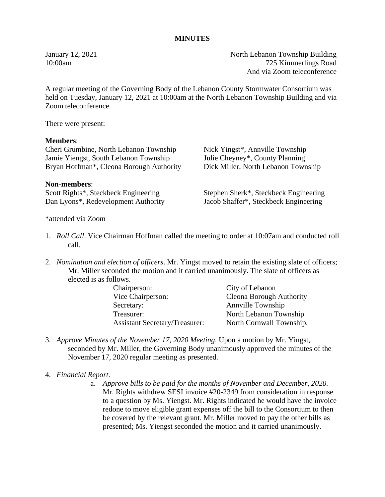January 12, 2021 North Lebanon Township Building 10:00am 725 Kimmerlings Road And via Zoom teleconference

A regular meeting of the Governing Body of the Lebanon County Stormwater Consortium was held on Tuesday, January 12, 2021 at 10:00am at the North Lebanon Township Building and via Zoom teleconference.

There were present:

## **Members**:

Cheri Grumbine, North Lebanon Township Nick Yingst\*, Annville Township Jamie Yiengst, South Lebanon Township Julie Cheyney\*, County Planning Bryan Hoffman\*, Cleona Borough Authority Dick Miller, North Lebanon Township

#### **Non-members**:

Scott Rights\*, Steckbeck Engineering Stephen Sherk\*, Steckbeck Engineering Dan Lyons\*, Redevelopment Authority Jacob Shaffer\*, Steckbeck Engineering

- 1. *Roll Call*. Vice Chairman Hoffman called the meeting to order at 10:07am and conducted roll call.
- 2. *Nomination and election of officers*. Mr. Yingst moved to retain the existing slate of officers; Mr. Miller seconded the motion and it carried unanimously. The slate of officers as elected is as follows.

| Chairperson:                          | City of Lebanon                 |
|---------------------------------------|---------------------------------|
| Vice Chairperson:                     | <b>Cleona Borough Authority</b> |
| Secretary:                            | Annville Township               |
| Treasurer:                            | North Lebanon Township          |
| <b>Assistant Secretary/Treasurer:</b> | North Cornwall Township.        |

- 3. *Approve Minutes of the November 17, 2020 Meeting*. Upon a motion by Mr. Yingst, seconded by Mr. Miller, the Governing Body unanimously approved the minutes of the November 17, 2020 regular meeting as presented.
- 4. *Financial Report*.
	- a. *Approve bills to be paid for the months of November and December, 2020.* Mr. Rights withdrew SESI invoice #20-2349 from consideration in response to a question by Ms. Yiengst. Mr. Rights indicated he would have the invoice redone to move eligible grant expenses off the bill to the Consortium to then be covered by the relevant grant. Mr. Miller moved to pay the other bills as presented; Ms. Yiengst seconded the motion and it carried unanimously.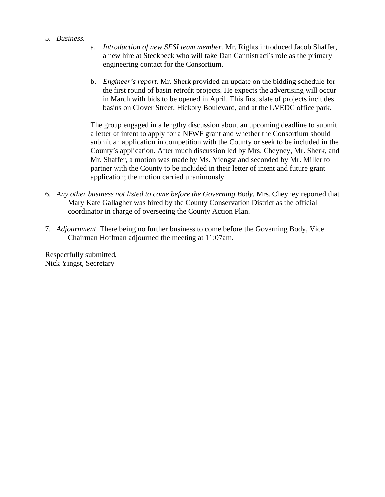- 5. *Business.*
- a. *Introduction of new SESI team member.* Mr. Rights introduced Jacob Shaffer, a new hire at Steckbeck who will take Dan Cannistraci's role as the primary engineering contact for the Consortium.
- b. *Engineer's report.* Mr. Sherk provided an update on the bidding schedule for the first round of basin retrofit projects. He expects the advertising will occur in March with bids to be opened in April. This first slate of projects includes basins on Clover Street, Hickory Boulevard, and at the LVEDC office park.

The group engaged in a lengthy discussion about an upcoming deadline to submit a letter of intent to apply for a NFWF grant and whether the Consortium should submit an application in competition with the County or seek to be included in the County's application. After much discussion led by Mrs. Cheyney, Mr. Sherk, and Mr. Shaffer, a motion was made by Ms. Yiengst and seconded by Mr. Miller to partner with the County to be included in their letter of intent and future grant application; the motion carried unanimously.

- 6. *Any other business not listed to come before the Governing Body.* Mrs. Cheyney reported that Mary Kate Gallagher was hired by the County Conservation District as the official coordinator in charge of overseeing the County Action Plan.
- 7. *Adjournment*. There being no further business to come before the Governing Body, Vice Chairman Hoffman adjourned the meeting at 11:07am.

Respectfully submitted, Nick Yingst, Secretary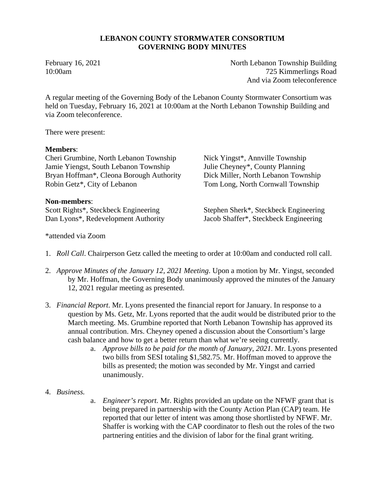# **LEBANON COUNTY STORMWATER CONSORTIUM GOVERNING BODY MINUTES**

February 16, 2021 **North Lebanon Township Building** 10:00am 725 Kimmerlings Road And via Zoom teleconference

A regular meeting of the Governing Body of the Lebanon County Stormwater Consortium was held on Tuesday, February 16, 2021 at 10:00am at the North Lebanon Township Building and via Zoom teleconference.

There were present:

## **Members**:

Cheri Grumbine, North Lebanon Township Nick Yingst\*, Annville Township Jamie Yiengst, South Lebanon Township Julie Cheyney\*, County Planning Bryan Hoffman\*, Cleona Borough Authority Dick Miller, North Lebanon Township Robin Getz\*, City of Lebanon Tom Long, North Cornwall Township

## **Non-members**:

Scott Rights\*, Steckbeck Engineering Stephen Sherk\*, Steckbeck Engineering Dan Lyons\*, Redevelopment Authority Jacob Shaffer\*, Steckbeck Engineering

- 1. *Roll Call*. Chairperson Getz called the meeting to order at 10:00am and conducted roll call.
- 2. *Approve Minutes of the January 12, 2021 Meeting*. Upon a motion by Mr. Yingst, seconded by Mr. Hoffman, the Governing Body unanimously approved the minutes of the January 12, 2021 regular meeting as presented.
- 3. *Financial Report*. Mr. Lyons presented the financial report for January. In response to a question by Ms. Getz, Mr. Lyons reported that the audit would be distributed prior to the March meeting. Ms. Grumbine reported that North Lebanon Township has approved its annual contribution. Mrs. Cheyney opened a discussion about the Consortium's large cash balance and how to get a better return than what we're seeing currently.
	- a. *Approve bills to be paid for the month of January, 2021.* Mr. Lyons presented two bills from SESI totaling \$1,582.75. Mr. Hoffman moved to approve the bills as presented; the motion was seconded by Mr. Yingst and carried unanimously.
- 4. *Business.*
- a. *Engineer's report.* Mr. Rights provided an update on the NFWF grant that is being prepared in partnership with the County Action Plan (CAP) team. He reported that our letter of intent was among those shortlisted by NFWF. Mr. Shaffer is working with the CAP coordinator to flesh out the roles of the two partnering entities and the division of labor for the final grant writing.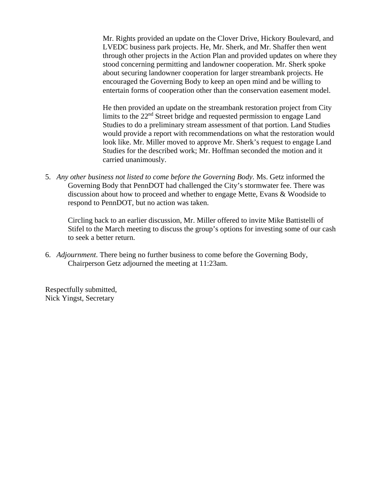Mr. Rights provided an update on the Clover Drive, Hickory Boulevard, and LVEDC business park projects. He, Mr. Sherk, and Mr. Shaffer then went through other projects in the Action Plan and provided updates on where they stood concerning permitting and landowner cooperation. Mr. Sherk spoke about securing landowner cooperation for larger streambank projects. He encouraged the Governing Body to keep an open mind and be willing to entertain forms of cooperation other than the conservation easement model.

He then provided an update on the streambank restoration project from City limits to the 22nd Street bridge and requested permission to engage Land Studies to do a preliminary stream assessment of that portion. Land Studies would provide a report with recommendations on what the restoration would look like. Mr. Miller moved to approve Mr. Sherk's request to engage Land Studies for the described work; Mr. Hoffman seconded the motion and it carried unanimously.

5. *Any other business not listed to come before the Governing Body.* Ms. Getz informed the Governing Body that PennDOT had challenged the City's stormwater fee. There was discussion about how to proceed and whether to engage Mette, Evans & Woodside to respond to PennDOT, but no action was taken.

Circling back to an earlier discussion, Mr. Miller offered to invite Mike Battistelli of Stifel to the March meeting to discuss the group's options for investing some of our cash to seek a better return.

6. *Adjournment*. There being no further business to come before the Governing Body, Chairperson Getz adjourned the meeting at 11:23am.

Respectfully submitted, Nick Yingst, Secretary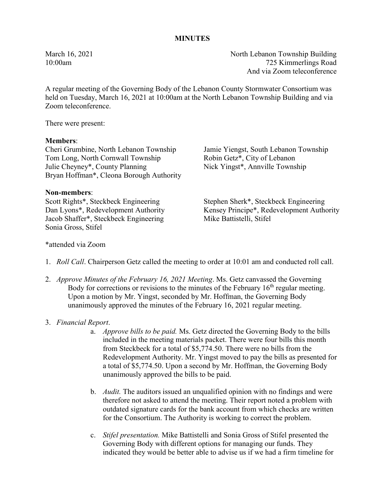March 16, 2021 North Lebanon Township Building 10:00am 725 Kimmerlings Road And via Zoom teleconference

A regular meeting of the Governing Body of the Lebanon County Stormwater Consortium was held on Tuesday, March 16, 2021 at 10:00am at the North Lebanon Township Building and via Zoom teleconference.

There were present:

# Members:

Cheri Grumbine, North Lebanon Township Jamie Yiengst, South Lebanon Township Tom Long, North Cornwall Township Robin Getz\*, City of Lebanon Tom Long, North Cornwall Township Julie Cheyney\*, County Planning Nick Yingst\*, Annville Township Bryan Hoffman\*, Cleona Borough Authority

## Non-members:

Jacob Shaffer\*, Steckbeck Engineering Sonia Gross, Stifel

Scott Rights\*, Steckbeck Engineering Stephen Sherk\*, Steckbeck Engineering Dan Lyons\*, Redevelopment Authority Kensey Principe\*, Redevelopment Authority Kensey Principe\*, Redevelopment Authority<br>Mike Battistelli, Stifel

- 1. *Roll Call*. Chairperson Getz called the meeting to order at 10:01 am and conducted roll call.
- 2. *Approve Minutes of the February 16, 2021 Meeting*. Ms. Getz canvassed the Governing Body for corrections or revisions to the minutes of the February  $16<sup>th</sup>$  regular meeting. Upon a motion by Mr. Yingst, seconded by Mr. Hoffman, the Governing Body unanimously approved the minutes of the February 16, 2021 regular meeting.
- 3. *Financial Report*.
	- a. *Approve bills to be paid.* Ms. Getz directed the Governing Body to the bills included in the meeting materials packet. There were four bills this month from Steckbeck for a total of \$5,774.50. There were no bills from the Redevelopment Authority. Mr. Yingst moved to pay the bills as presented for a total of \$5,774.50. Upon a second by Mr. Hoffman, the Governing Body unanimously approved the bills to be paid.
	- b. *Audit.* The auditors issued an unqualified opinion with no findings and were therefore not asked to attend the meeting. Their report noted a problem with outdated signature cards for the bank account from which checks are written for the Consortium. The Authority is working to correct the problem.
	- c. *Stifel presentation.* Mike Battistelli and Sonia Gross of Stifel presented the Governing Body with different options for managing our funds. They indicated they would be better able to advise us if we had a firm timeline for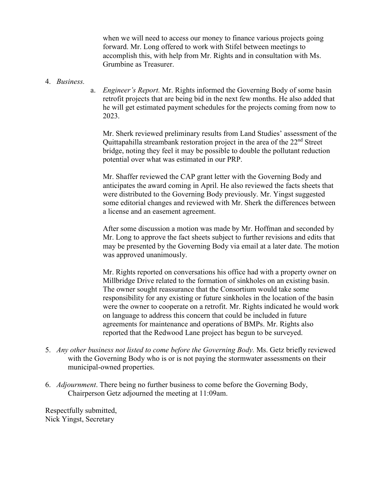when we will need to access our money to finance various projects going forward. Mr. Long offered to work with Stifel between meetings to accomplish this, with help from Mr. Rights and in consultation with Ms. Grumbine as Treasurer.

#### 4. *Business.*

a. *Engineer's Report.* Mr. Rights informed the Governing Body of some basin retrofit projects that are being bid in the next few months. He also added that he will get estimated payment schedules for the projects coming from now to 2023.

Mr. Sherk reviewed preliminary results from Land Studies' assessment of the Quittapahilla streambank restoration project in the area of the 22<sup>nd</sup> Street bridge, noting they feel it may be possible to double the pollutant reduction potential over what was estimated in our PRP.

Mr. Shaffer reviewed the CAP grant letter with the Governing Body and anticipates the award coming in April. He also reviewed the facts sheets that were distributed to the Governing Body previously. Mr. Yingst suggested some editorial changes and reviewed with Mr. Sherk the differences between a license and an easement agreement.

After some discussion a motion was made by Mr. Hoffman and seconded by Mr. Long to approve the fact sheets subject to further revisions and edits that may be presented by the Governing Body via email at a later date. The motion was approved unanimously.

Mr. Rights reported on conversations his office had with a property owner on Millbridge Drive related to the formation of sinkholes on an existing basin. The owner sought reassurance that the Consortium would take some responsibility for any existing or future sinkholes in the location of the basin were the owner to cooperate on a retrofit. Mr. Rights indicated he would work on language to address this concern that could be included in future agreements for maintenance and operations of BMPs. Mr. Rights also reported that the Redwood Lane project has begun to be surveyed.

- 5. *Any other business not listed to come before the Governing Body.* Ms. Getz briefly reviewed with the Governing Body who is or is not paying the stormwater assessments on their municipal-owned properties.
- 6. *Adjournment*. There being no further business to come before the Governing Body, Chairperson Getz adjourned the meeting at 11:09am.

Respectfully submitted, Nick Yingst, Secretary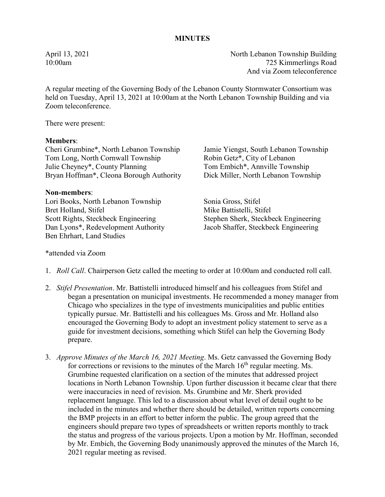April 13, 2021 North Lebanon Township Building 10:00am 725 Kimmerlings Road And via Zoom teleconference

A regular meeting of the Governing Body of the Lebanon County Stormwater Consortium was held on Tuesday, April 13, 2021 at 10:00am at the North Lebanon Township Building and via Zoom teleconference.

There were present:

## Members:

Cheri Grumbine\*, North Lebanon Township Jamie Yiengst, South Lebanon Township Tom Long, North Cornwall Township Robin Getz\*, City of Lebanon Julie Cheyney\*, County Planning Tom Embich\*, Annville Township Bryan Hoffman\*, Cleona Borough Authority Dick Miller, North Lebanon Township

#### Non-members:

Lori Books, North Lebanon Township Sonia Gross, Stifel Bret Holland, Stifel Mike Battistelli, Stifel Scott Rights, Steckbeck Engineering Stephen Sherk, Steckbeck Engineering Dan Lyons\*, Redevelopment Authority Jacob Shaffer, Steckbeck Engineering Ben Ehrhart, Land Studies

- 1. *Roll Call*. Chairperson Getz called the meeting to order at 10:00am and conducted roll call.
- 2. *Stifel Presentation*. Mr. Battistelli introduced himself and his colleagues from Stifel and began a presentation on municipal investments. He recommended a money manager from Chicago who specializes in the type of investments municipalities and public entities typically pursue. Mr. Battistelli and his colleagues Ms. Gross and Mr. Holland also encouraged the Governing Body to adopt an investment policy statement to serve as a guide for investment decisions, something which Stifel can help the Governing Body prepare.
- 3. *Approve Minutes of the March 16, 2021 Meeting*. Ms. Getz canvassed the Governing Body for corrections or revisions to the minutes of the March  $16<sup>th</sup>$  regular meeting. Ms. Grumbine requested clarification on a section of the minutes that addressed project locations in North Lebanon Township. Upon further discussion it became clear that there were inaccuracies in need of revision. Ms. Grumbine and Mr. Sherk provided replacement language. This led to a discussion about what level of detail ought to be included in the minutes and whether there should be detailed, written reports concerning the BMP projects in an effort to better inform the public. The group agreed that the engineers should prepare two types of spreadsheets or written reports monthly to track the status and progress of the various projects. Upon a motion by Mr. Hoffman, seconded by Mr. Embich, the Governing Body unanimously approved the minutes of the March 16, 2021 regular meeting as revised.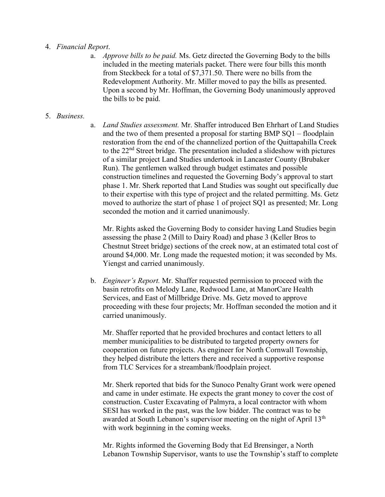## 4. *Financial Report*.

a. *Approve bills to be paid.* Ms. Getz directed the Governing Body to the bills included in the meeting materials packet. There were four bills this month from Steckbeck for a total of \$7,371.50. There were no bills from the Redevelopment Authority. Mr. Miller moved to pay the bills as presented. Upon a second by Mr. Hoffman, the Governing Body unanimously approved the bills to be paid.

## 5. *Business.*

a. *Land Studies assessment.* Mr. Shaffer introduced Ben Ehrhart of Land Studies and the two of them presented a proposal for starting BMP SQ1 – floodplain restoration from the end of the channelized portion of the Quittapahilla Creek to the 22nd Street bridge. The presentation included a slideshow with pictures of a similar project Land Studies undertook in Lancaster County (Brubaker Run). The gentlemen walked through budget estimates and possible construction timelines and requested the Governing Body's approval to start phase 1. Mr. Sherk reported that Land Studies was sought out specifically due to their expertise with this type of project and the related permitting. Ms. Getz moved to authorize the start of phase 1 of project SQ1 as presented; Mr. Long seconded the motion and it carried unanimously.

Mr. Rights asked the Governing Body to consider having Land Studies begin assessing the phase 2 (Mill to Dairy Road) and phase 3 (Keller Bros to Chestnut Street bridge) sections of the creek now, at an estimated total cost of around \$4,000. Mr. Long made the requested motion; it was seconded by Ms. Yiengst and carried unanimously.

b. *Engineer's Report.* Mr. Shaffer requested permission to proceed with the basin retrofits on Melody Lane, Redwood Lane, at ManorCare Health Services, and East of Millbridge Drive. Ms. Getz moved to approve proceeding with these four projects; Mr. Hoffman seconded the motion and it carried unanimously.

Mr. Shaffer reported that he provided brochures and contact letters to all member municipalities to be distributed to targeted property owners for cooperation on future projects. As engineer for North Cornwall Township, they helped distribute the letters there and received a supportive response from TLC Services for a streambank/floodplain project.

Mr. Sherk reported that bids for the Sunoco Penalty Grant work were opened and came in under estimate. He expects the grant money to cover the cost of construction. Custer Excavating of Palmyra, a local contractor with whom SESI has worked in the past, was the low bidder. The contract was to be awarded at South Lebanon's supervisor meeting on the night of April 13<sup>th</sup> with work beginning in the coming weeks.

Mr. Rights informed the Governing Body that Ed Brensinger, a North Lebanon Township Supervisor, wants to use the Township's staff to complete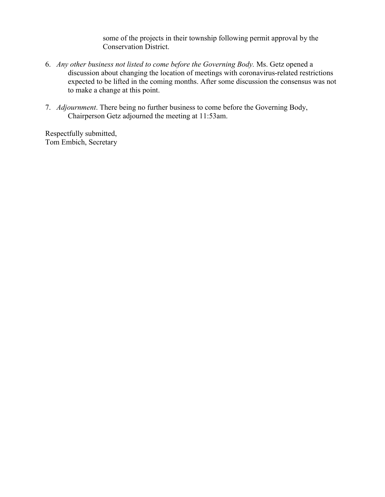some of the projects in their township following permit approval by the Conservation District.

- 6. *Any other business not listed to come before the Governing Body.* Ms. Getz opened a discussion about changing the location of meetings with coronavirus-related restrictions expected to be lifted in the coming months. After some discussion the consensus was not to make a change at this point.
- 7. *Adjournment*. There being no further business to come before the Governing Body, Chairperson Getz adjourned the meeting at 11:53am.

Respectfully submitted, Tom Embich, Secretary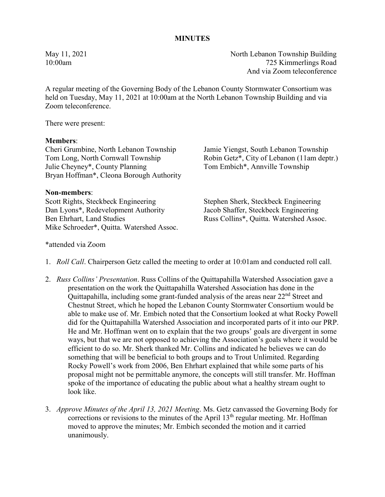May 11, 2021 North Lebanon Township Building 10:00am 725 Kimmerlings Road And via Zoom teleconference

A regular meeting of the Governing Body of the Lebanon County Stormwater Consortium was held on Tuesday, May 11, 2021 at 10:00am at the North Lebanon Township Building and via Zoom teleconference.

There were present:

#### Members:

Cheri Grumbine, North Lebanon Township Jamie Yiengst, South Lebanon Township Tom Long, North Cornwall Township Robin Getz\*, City of Lebanon (11am deptr.) Julie Cheyney\*, County Planning Tom Embich\*, Annville Township Bryan Hoffman\*, Cleona Borough Authority

#### Non-members:

Scott Rights, Steckbeck Engineering Stephen Sherk, Steckbeck Engineering Dan Lyons\*, Redevelopment Authority Jacob Shaffer, Steckbeck Engineering Ben Ehrhart, Land Studies Russ Collins\*, Quitta. Watershed Assoc. Mike Schroeder\*, Quitta. Watershed Assoc.

- 1. *Roll Call*. Chairperson Getz called the meeting to order at 10:01am and conducted roll call.
- 2. *Russ Collins' Presentation*. Russ Collins of the Quittapahilla Watershed Association gave a presentation on the work the Quittapahilla Watershed Association has done in the Quittapahilla, including some grant-funded analysis of the areas near 22<sup>nd</sup> Street and Chestnut Street, which he hoped the Lebanon County Stormwater Consortium would be able to make use of. Mr. Embich noted that the Consortium looked at what Rocky Powell did for the Quittapahilla Watershed Association and incorporated parts of it into our PRP. He and Mr. Hoffman went on to explain that the two groups' goals are divergent in some ways, but that we are not opposed to achieving the Association's goals where it would be efficient to do so. Mr. Sherk thanked Mr. Collins and indicated he believes we can do something that will be beneficial to both groups and to Trout Unlimited. Regarding Rocky Powell's work from 2006, Ben Ehrhart explained that while some parts of his proposal might not be permittable anymore, the concepts will still transfer. Mr. Hoffman spoke of the importance of educating the public about what a healthy stream ought to look like.
- 3. *Approve Minutes of the April 13, 2021 Meeting*. Ms. Getz canvassed the Governing Body for corrections or revisions to the minutes of the April  $13<sup>th</sup>$  regular meeting. Mr. Hoffman moved to approve the minutes; Mr. Embich seconded the motion and it carried unanimously.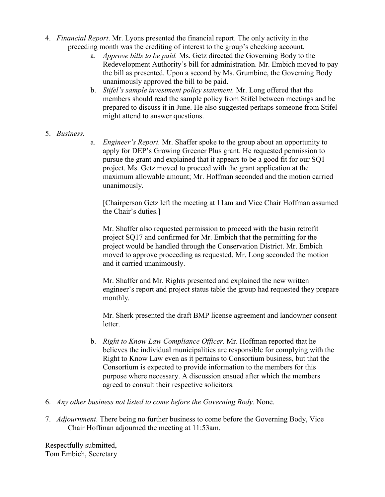- 4. *Financial Report*. Mr. Lyons presented the financial report. The only activity in the preceding month was the crediting of interest to the group's checking account.
	- a. *Approve bills to be paid.* Ms. Getz directed the Governing Body to the Redevelopment Authority's bill for administration. Mr. Embich moved to pay the bill as presented. Upon a second by Ms. Grumbine, the Governing Body unanimously approved the bill to be paid.
	- b. *Stifel's sample investment policy statement.* Mr. Long offered that the members should read the sample policy from Stifel between meetings and be prepared to discuss it in June. He also suggested perhaps someone from Stifel might attend to answer questions.
- 5. *Business.*
- a. *Engineer's Report.* Mr. Shaffer spoke to the group about an opportunity to apply for DEP's Growing Greener Plus grant. He requested permission to pursue the grant and explained that it appears to be a good fit for our SQ1 project. Ms. Getz moved to proceed with the grant application at the maximum allowable amount; Mr. Hoffman seconded and the motion carried unanimously.

[Chairperson Getz left the meeting at 11am and Vice Chair Hoffman assumed the Chair's duties.]

Mr. Shaffer also requested permission to proceed with the basin retrofit project SQ17 and confirmed for Mr. Embich that the permitting for the project would be handled through the Conservation District. Mr. Embich moved to approve proceeding as requested. Mr. Long seconded the motion and it carried unanimously.

Mr. Shaffer and Mr. Rights presented and explained the new written engineer's report and project status table the group had requested they prepare monthly.

Mr. Sherk presented the draft BMP license agreement and landowner consent letter.

- b. *Right to Know Law Compliance Officer.* Mr. Hoffman reported that he believes the individual municipalities are responsible for complying with the Right to Know Law even as it pertains to Consortium business, but that the Consortium is expected to provide information to the members for this purpose where necessary. A discussion ensued after which the members agreed to consult their respective solicitors.
- 6. *Any other business not listed to come before the Governing Body.* None.
- 7. *Adjournment*. There being no further business to come before the Governing Body, Vice Chair Hoffman adjourned the meeting at 11:53am.

Respectfully submitted, Tom Embich, Secretary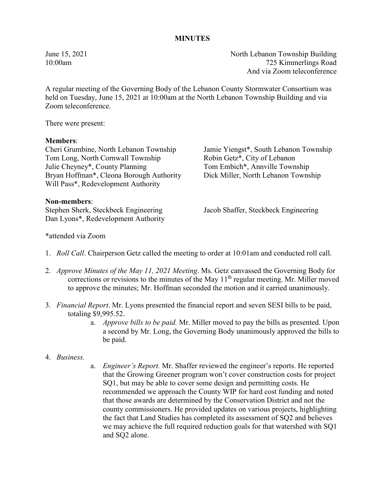# MINUTES

June 15, 2021 North Lebanon Township Building 10:00am 725 Kimmerlings Road And via Zoom teleconference

A regular meeting of the Governing Body of the Lebanon County Stormwater Consortium was held on Tuesday, June 15, 2021 at 10:00am at the North Lebanon Township Building and via Zoom teleconference.

There were present:

## Members:

Cheri Grumbine, North Lebanon Township Jamie Yiengst\*, South Lebanon Township Tom Long, North Cornwall Township Robin Getz\*, City of Lebanon Julie Cheyney\*, County Planning Tom Embich\*, Annville Township Bryan Hoffman\*, Cleona Borough Authority Dick Miller, North Lebanon Township Will Pass\*, Redevelopment Authority

#### Non-members:

Stephen Sherk, Steckbeck Engineering Jacob Shaffer, Steckbeck Engineering Dan Lyons\*, Redevelopment Authority

\*attended via Zoom

- 1. *Roll Call*. Chairperson Getz called the meeting to order at 10:01am and conducted roll call.
- 2. *Approve Minutes of the May 11, 2021 Meeting*. Ms. Getz canvassed the Governing Body for corrections or revisions to the minutes of the May  $11<sup>th</sup>$  regular meeting. Mr. Miller moved to approve the minutes; Mr. Hoffman seconded the motion and it carried unanimously.
- 3. *Financial Report*. Mr. Lyons presented the financial report and seven SESI bills to be paid, totaling \$9,995.52.
	- a. *Approve bills to be paid.* Mr. Miller moved to pay the bills as presented. Upon a second by Mr. Long, the Governing Body unanimously approved the bills to be paid.

## 4. *Business.*

a. *Engineer's Report.* Mr. Shaffer reviewed the engineer's reports. He reported that the Growing Greener program won't cover construction costs for project SQ1, but may be able to cover some design and permitting costs. He recommended we approach the County WIP for hard cost funding and noted that those awards are determined by the Conservation District and not the county commissioners. He provided updates on various projects, highlighting the fact that Land Studies has completed its assessment of SQ2 and believes we may achieve the full required reduction goals for that watershed with SQ1 and SQ2 alone.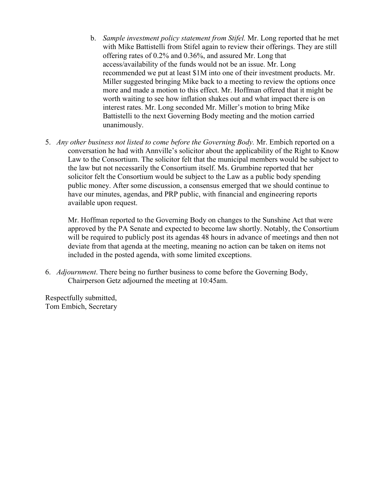- b. *Sample investment policy statement from Stifel.* Mr. Long reported that he met with Mike Battistelli from Stifel again to review their offerings. They are still offering rates of 0.2% and 0.36%, and assured Mr. Long that access/availability of the funds would not be an issue. Mr. Long recommended we put at least \$1M into one of their investment products. Mr. Miller suggested bringing Mike back to a meeting to review the options once more and made a motion to this effect. Mr. Hoffman offered that it might be worth waiting to see how inflation shakes out and what impact there is on interest rates. Mr. Long seconded Mr. Miller's motion to bring Mike Battistelli to the next Governing Body meeting and the motion carried unanimously.
- 5. *Any other business not listed to come before the Governing Body.* Mr. Embich reported on a conversation he had with Annville's solicitor about the applicability of the Right to Know Law to the Consortium. The solicitor felt that the municipal members would be subject to the law but not necessarily the Consortium itself. Ms. Grumbine reported that her solicitor felt the Consortium would be subject to the Law as a public body spending public money. After some discussion, a consensus emerged that we should continue to have our minutes, agendas, and PRP public, with financial and engineering reports available upon request.

Mr. Hoffman reported to the Governing Body on changes to the Sunshine Act that were approved by the PA Senate and expected to become law shortly. Notably, the Consortium will be required to publicly post its agendas 48 hours in advance of meetings and then not deviate from that agenda at the meeting, meaning no action can be taken on items not included in the posted agenda, with some limited exceptions.

6. *Adjournment*. There being no further business to come before the Governing Body, Chairperson Getz adjourned the meeting at 10:45am.

Respectfully submitted, Tom Embich, Secretary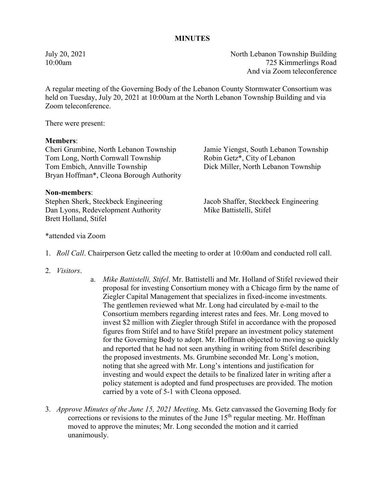July 20, 2021 North Lebanon Township Building 10:00am 725 Kimmerlings Road And via Zoom teleconference

A regular meeting of the Governing Body of the Lebanon County Stormwater Consortium was held on Tuesday, July 20, 2021 at 10:00am at the North Lebanon Township Building and via Zoom teleconference.

There were present:

## Members:

Cheri Grumbine, North Lebanon Township Jamie Yiengst, South Lebanon Township Tom Long, North Cornwall Township Robin Getz\*, City of Lebanon Tom Embich, Annville Township Dick Miller, North Lebanon Township Bryan Hoffman\*, Cleona Borough Authority

## Non-members:

Dan Lyons, Redevelopment Authority Mike Battistelli, Stifel Brett Holland, Stifel

Stephen Sherk, Steckbeck Engineering Jacob Shaffer, Steckbeck Engineering

- 1. *Roll Call*. Chairperson Getz called the meeting to order at 10:00am and conducted roll call.
- 2. *Visitors*.
- a. *Mike Battistelli, Stifel*. Mr. Battistelli and Mr. Holland of Stifel reviewed their proposal for investing Consortium money with a Chicago firm by the name of Ziegler Capital Management that specializes in fixed-income investments. The gentlemen reviewed what Mr. Long had circulated by e-mail to the Consortium members regarding interest rates and fees. Mr. Long moved to invest \$2 million with Ziegler through Stifel in accordance with the proposed figures from Stifel and to have Stifel prepare an investment policy statement for the Governing Body to adopt. Mr. Hoffman objected to moving so quickly and reported that he had not seen anything in writing from Stifel describing the proposed investments. Ms. Grumbine seconded Mr. Long's motion, noting that she agreed with Mr. Long's intentions and justification for investing and would expect the details to be finalized later in writing after a policy statement is adopted and fund prospectuses are provided. The motion carried by a vote of 5-1 with Cleona opposed.
- 3. *Approve Minutes of the June 15, 2021 Meeting*. Ms. Getz canvassed the Governing Body for corrections or revisions to the minutes of the June  $15<sup>th</sup>$  regular meeting. Mr. Hoffman moved to approve the minutes; Mr. Long seconded the motion and it carried unanimously.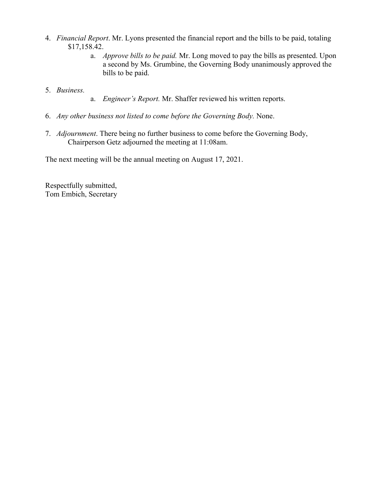- 4. *Financial Report*. Mr. Lyons presented the financial report and the bills to be paid, totaling \$17,158.42.
	- a. *Approve bills to be paid.* Mr. Long moved to pay the bills as presented. Upon a second by Ms. Grumbine, the Governing Body unanimously approved the bills to be paid.
- 5. *Business.*
- a. *Engineer's Report.* Mr. Shaffer reviewed his written reports.
- 6. *Any other business not listed to come before the Governing Body.* None.
- 7. *Adjournment*. There being no further business to come before the Governing Body, Chairperson Getz adjourned the meeting at 11:08am.

The next meeting will be the annual meeting on August 17, 2021.

Respectfully submitted, Tom Embich, Secretary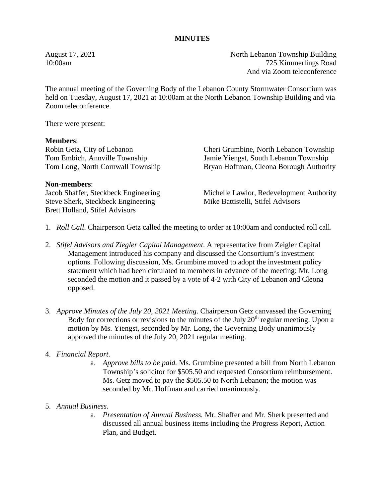August 17, 2021 North Lebanon Township Building 10:00am 725 Kimmerlings Road And via Zoom teleconference

The annual meeting of the Governing Body of the Lebanon County Stormwater Consortium was held on Tuesday, August 17, 2021 at 10:00am at the North Lebanon Township Building and via Zoom teleconference.

There were present:

## **Members**:

Robin Getz, City of Lebanon Cheri Grumbine, North Lebanon Township

Tom Embich, Annville Township Jamie Yiengst, South Lebanon Township Tom Long, North Cornwall Township Bryan Hoffman, Cleona Borough Authority

## **Non-members**:

Steve Sherk, Steckbeck Engineering Mike Battistelli, Stifel Advisors Brett Holland, Stifel Advisors

Jacob Shaffer, Steckbeck Engineering Michelle Lawlor, Redevelopment Authority

- 1. *Roll Call*. Chairperson Getz called the meeting to order at 10:00am and conducted roll call.
- 2. *Stifel Advisors and Ziegler Capital Management*. A representative from Zeigler Capital Management introduced his company and discussed the Consortium's investment options. Following discussion, Ms. Grumbine moved to adopt the investment policy statement which had been circulated to members in advance of the meeting; Mr. Long seconded the motion and it passed by a vote of 4-2 with City of Lebanon and Cleona opposed.
- 3. *Approve Minutes of the July 20, 2021 Meeting*. Chairperson Getz canvassed the Governing Body for corrections or revisions to the minutes of the July  $20<sup>th</sup>$  regular meeting. Upon a motion by Ms. Yiengst, seconded by Mr. Long, the Governing Body unanimously approved the minutes of the July 20, 2021 regular meeting.

## 4. *Financial Report*.

a. *Approve bills to be paid.* Ms. Grumbine presented a bill from North Lebanon Township's solicitor for \$505.50 and requested Consortium reimbursement. Ms. Getz moved to pay the \$505.50 to North Lebanon; the motion was seconded by Mr. Hoffman and carried unanimously.

## 5. *Annual Business.*

a. *Presentation of Annual Business.* Mr. Shaffer and Mr. Sherk presented and discussed all annual business items including the Progress Report, Action Plan, and Budget.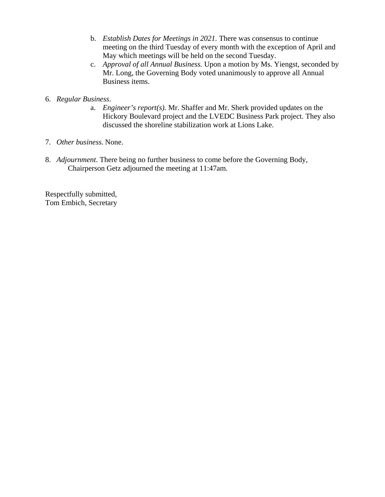- b. *Establish Dates for Meetings in 2021.* There was consensus to continue meeting on the third Tuesday of every month with the exception of April and May which meetings will be held on the second Tuesday.
- c. *Approval of all Annual Business.* Upon a motion by Ms. Yiengst, seconded by Mr. Long, the Governing Body voted unanimously to approve all Annual Business items.
- 6. *Regular Business*.
	- a. *Engineer's report(s).* Mr. Shaffer and Mr. Sherk provided updates on the Hickory Boulevard project and the LVEDC Business Park project. They also discussed the shoreline stabilization work at Lions Lake.
- 7. *Other business.* None.
- 8. *Adjournment*. There being no further business to come before the Governing Body, Chairperson Getz adjourned the meeting at 11:47am.

Respectfully submitted, Tom Embich, Secretary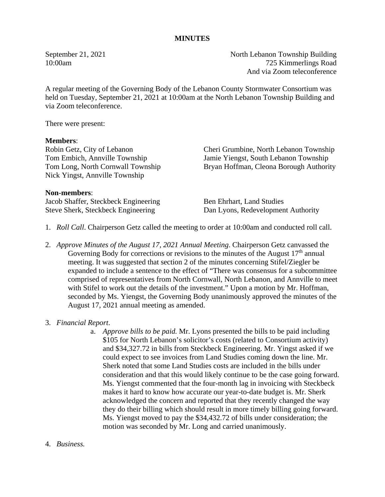September 21, 2021 North Lebanon Township Building 10:00am 725 Kimmerlings Road And via Zoom teleconference

A regular meeting of the Governing Body of the Lebanon County Stormwater Consortium was held on Tuesday, September 21, 2021 at 10:00am at the North Lebanon Township Building and via Zoom teleconference.

There were present:

## **Members**:

Nick Yingst, Annville Township

Robin Getz, City of Lebanon Cheri Grumbine, North Lebanon Township Tom Embich, Annville Township Jamie Yiengst, South Lebanon Township Tom Long, North Cornwall Township Bryan Hoffman, Cleona Borough Authority

## **Non-members**:

Jacob Shaffer, Steckbeck Engineering Ben Ehrhart, Land Studies Steve Sherk, Steckbeck Engineering Dan Lyons, Redevelopment Authority

- 1. *Roll Call*. Chairperson Getz called the meeting to order at 10:00am and conducted roll call.
- 2. *Approve Minutes of the August 17, 2021 Annual Meeting*. Chairperson Getz canvassed the Governing Body for corrections or revisions to the minutes of the August  $17<sup>th</sup>$  annual meeting. It was suggested that section 2 of the minutes concerning Stifel/Ziegler be expanded to include a sentence to the effect of "There was consensus for a subcommittee comprised of representatives from North Cornwall, North Lebanon, and Annville to meet with Stifel to work out the details of the investment." Upon a motion by Mr. Hoffman, seconded by Ms. Yiengst, the Governing Body unanimously approved the minutes of the August 17, 2021 annual meeting as amended.
- 3. *Financial Report*.
	- a. *Approve bills to be paid.* Mr. Lyons presented the bills to be paid including \$105 for North Lebanon's solicitor's costs (related to Consortium activity) and \$34,327.72 in bills from Steckbeck Engineering. Mr. Yingst asked if we could expect to see invoices from Land Studies coming down the line. Mr. Sherk noted that some Land Studies costs are included in the bills under consideration and that this would likely continue to be the case going forward. Ms. Yiengst commented that the four-month lag in invoicing with Steckbeck makes it hard to know how accurate our year-to-date budget is. Mr. Sherk acknowledged the concern and reported that they recently changed the way they do their billing which should result in more timely billing going forward. Ms. Yiengst moved to pay the \$34,432.72 of bills under consideration; the motion was seconded by Mr. Long and carried unanimously.
- 4. *Business.*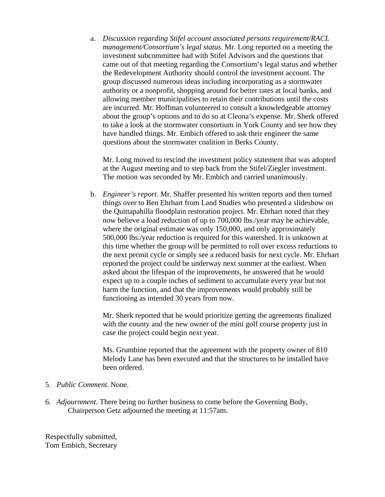a. *Discussion regarding Stifel account associated persons requirement/RACL management/Consortium's legal status.* Mr. Long reported on a meeting the investment subcommittee had with Stifel Advisors and the questions that came out of that meeting regarding the Consortium's legal status and whether the Redevelopment Authority should control the investment account. The group discussed numerous ideas including incorporating as a stormwater authority or a nonprofit, shopping around for better rates at local banks, and allowing member municipalities to retain their contributions until the costs are incurred. Mr. Hoffman volunteered to consult a knowledgeable attorney about the group's options and to do so at Cleona's expense. Mr. Sherk offered to take a look at the stormwater consortium in York County and see how they have handled things. Mr. Embich offered to ask their engineer the same questions about the stormwater coalition in Berks County.

Mr. Long moved to rescind the investment policy statement that was adopted at the August meeting and to step back from the Stifel/Ziegler investment. The motion was seconded by Mr. Embich and carried unanimously.

b. *Engineer's report.* Mr. Shaffer presented his written reports and then turned things over to Ben Ehrhart from Land Studies who presented a slideshow on the Quittapahilla floodplain restoration project. Mr. Ehrhart noted that they now believe a load reduction of up to 700,000 lbs./year may be achievable, where the original estimate was only 150,000, and only approximately 500,000 lbs./year reduction is required for this watershed. It is unknown at this time whether the group will be permitted to roll over excess reductions to the next permit cycle or simply see a reduced basis for next cycle. Mr. Ehrhart reported the project could be underway next summer at the earliest. When asked about the lifespan of the improvements, he answered that he would expect up to a couple inches of sediment to accumulate every year but not harm the function, and that the improvements would probably still be functioning as intended 30 years from now.

Mr. Sherk reported that he would prioritize getting the agreements finalized with the county and the new owner of the mini golf course property just in case the project could begin next year.

Ms. Grumbine reported that the agreement with the property owner of 810 Melody Lane has been executed and that the structures to be installed have been ordered.

- 5. *Public Comment.* None.
- 6. *Adjournment*. There being no further business to come before the Governing Body, Chairperson Getz adjourned the meeting at 11:57am.

Respectfully submitted, Tom Embich, Secretary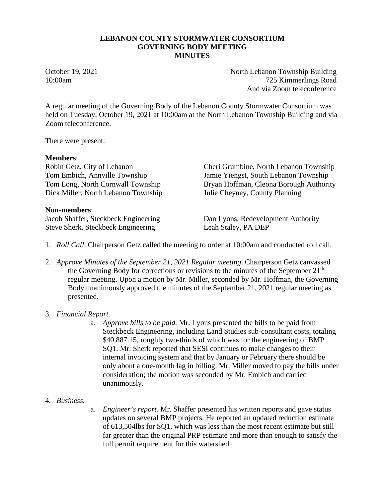# **LEBANON COUNTY STORMWATER CONSORTIUM GOVERNING BODY MEETING MINUTES**

October 19, 2021 North Lebanon Township Building 10:00am 725 Kimmerlings Road And via Zoom teleconference

A regular meeting of the Governing Body of the Lebanon County Stormwater Consortium was held on Tuesday, October 19, 2021 at 10:00am at the North Lebanon Township Building and via Zoom teleconference.

There were present:

## **Members**:

Dick Miller, North Lebanon Township Julie Cheyney, County Planning

## **Non-members**:

Steve Sherk, Steckbeck Engineering Leah Staley, PA DEP

Robin Getz, City of Lebanon Cheri Grumbine, North Lebanon Township Tom Embich, Annville Township Jamie Yiengst, South Lebanon Township Tom Long, North Cornwall Township Bryan Hoffman, Cleona Borough Authority

Jacob Shaffer, Steckbeck Engineering Dan Lyons, Redevelopment Authority

- 1. *Roll Call*. Chairperson Getz called the meeting to order at 10:00am and conducted roll call.
- 2. *Approve Minutes of the September 21, 2021 Regular meeting*. Chairperson Getz canvassed the Governing Body for corrections or revisions to the minutes of the September  $21<sup>th</sup>$ regular meeting. Upon a motion by Mr. Miller, seconded by Mr. Hoffman, the Governing Body unanimously approved the minutes of the September 21, 2021 regular meeting as presented.
- 3. *Financial Report*.
	- a. *Approve bills to be paid.* Mr. Lyons presented the bills to be paid from Steckbeck Engineering, including Land Studies sub-consultant costs, totaling \$40,887.15, roughly two-thirds of which was for the engineering of BMP SQ1. Mr. Sherk reported that SESI continues to make changes to their internal invoicing system and that by January or February there should be only about a one-month lag in billing. Mr. Miller moved to pay the bills under consideration; the motion was seconded by Mr. Embich and carried unanimously.
- 4. *Business.*
- a. *Engineer's report.* Mr. Shaffer presented his written reports and gave status updates on several BMP projects. He reported an updated reduction estimate of 613,504lbs for SQ1, which was less than the most recent estimate but still far greater than the original PRP estimate and more than enough to satisfy the full permit requirement for this watershed.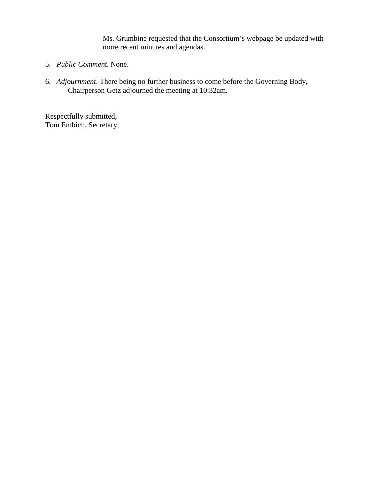Ms. Grumbine requested that the Consortium's webpage be updated with more recent minutes and agendas.

- 5. *Public Comment.* None.
- 6. *Adjournment*. There being no further business to come before the Governing Body, Chairperson Getz adjourned the meeting at 10:32am.

Respectfully submitted, Tom Embich, Secretary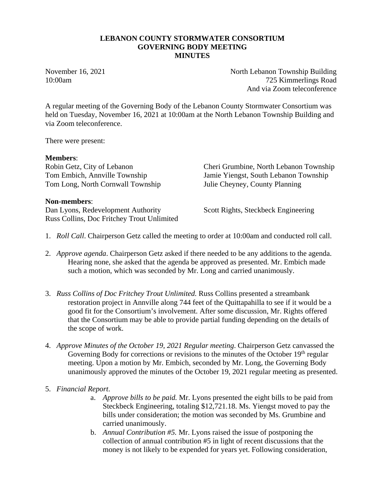# **LEBANON COUNTY STORMWATER CONSORTIUM GOVERNING BODY MEETING MINUTES**

November 16, 2021 **November 16, 2021** North Lebanon Township Building 10:00am 725 Kimmerlings Road And via Zoom teleconference

A regular meeting of the Governing Body of the Lebanon County Stormwater Consortium was held on Tuesday, November 16, 2021 at 10:00am at the North Lebanon Township Building and via Zoom teleconference.

There were present:

## **Members**:

Tom Long, North Cornwall Township

Robin Getz, City of Lebanon Cheri Grumbine, North Lebanon Township Tom Embich, Annville Township Jamie Yiengst, South Lebanon Township<br>
Tom Long, North Cornwall Township Julie Chevney, County Planning

## **Non-members**:

Dan Lyons, Redevelopment Authority Scott Rights, Steckbeck Engineering Russ Collins, Doc Fritchey Trout Unlimited

- 1. *Roll Call*. Chairperson Getz called the meeting to order at 10:00am and conducted roll call.
- 2. *Approve agenda*. Chairperson Getz asked if there needed to be any additions to the agenda. Hearing none, she asked that the agenda be approved as presented. Mr. Embich made such a motion, which was seconded by Mr. Long and carried unanimously.
- 3. *Russ Collins of Doc Fritchey Trout Unlimited.* Russ Collins presented a streambank restoration project in Annville along 744 feet of the Quittapahilla to see if it would be a good fit for the Consortium's involvement. After some discussion, Mr. Rights offered that the Consortium may be able to provide partial funding depending on the details of the scope of work.
- 4. *Approve Minutes of the October 19, 2021 Regular meeting*. Chairperson Getz canvassed the Governing Body for corrections or revisions to the minutes of the October 19<sup>th</sup> regular meeting. Upon a motion by Mr. Embich, seconded by Mr. Long, the Governing Body unanimously approved the minutes of the October 19, 2021 regular meeting as presented.
- 5. *Financial Report*.
	- a. *Approve bills to be paid.* Mr. Lyons presented the eight bills to be paid from Steckbeck Engineering, totaling \$12,721.18. Ms. Yiengst moved to pay the bills under consideration; the motion was seconded by Ms. Grumbine and carried unanimously.
	- b. *Annual Contribution #5.* Mr. Lyons raised the issue of postponing the collection of annual contribution #5 in light of recent discussions that the money is not likely to be expended for years yet. Following consideration,